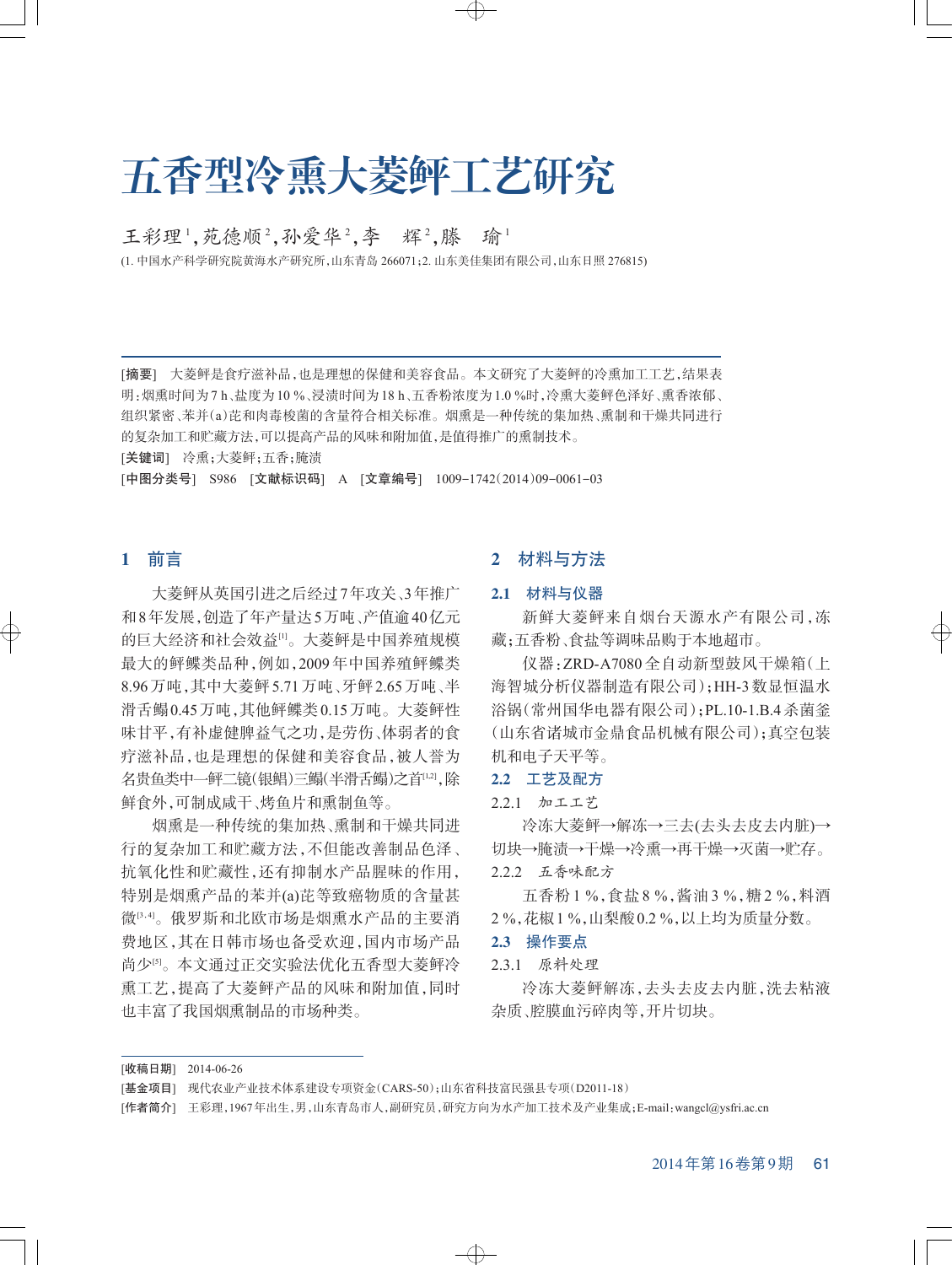# 五香型冷熏大菱鲆工艺研究

王彩理<sup>1</sup>,苑德顺<sup>2</sup>,孙爱华<sup>2</sup>,李 辉<sup>2</sup>,滕 瑜<sup>1</sup>

(1. 中国水产科学研究院黄海水产研究所,山东青岛 266071;2. 山东美佳集团有限公司,山东日照 276815)

[摘要] 大菱鲆是食疗滋补品,也是理想的保健和美容食品。本文研究了大菱鲆的冷熏加工工艺,结果表 明:烟熏时间为7 h、盐度为10 %、浸渍时间为18 h、五香粉浓度为1.0 %时,冷熏大菱鲆色泽好、熏香浓郁、 组织紧密、苯并(a)芘和肉毒梭菌的含量符合相关标准。烟熏是一种传统的集加热、熏制和干燥共同进行 的复杂加工和贮藏方法,可以提高产品的风味和附加值,是值得推广的熏制技术。

[关键词] 冷熏;大菱鲆;五香;腌渍

[中图分类号] S986 [文献标识码] A [文章编号] 1009-1742(2014)09-0061-03

# 1 前言

大菱鲆从英国引进之后经过7年攻关、3年推广 和8年发展,创造了年产量达5万吨、产值逾40亿元 的巨大经济和社会效益[1]。大菱鲆是中国养殖规模 最大的鲆鲽类品种,例如,2009年中国养殖鲆鲽类 8.96万吨,其中大菱鲆5.71万吨、牙鲆2.65万吨、半 滑舌鳎0.45万吨,其他鲆鲽类0.15万吨。大菱鲆性 味甘平,有补虚健脾益气之功,是劳伤、体弱者的食 疗滋补品,也是理想的保健和美容食品,被人誉为 名贵鱼类中—鲆二镜(银鲳)三鳎(半滑舌鳎)之首'<sup>[1,2]</sup>,除 鲜食外,可制成咸干、烤鱼片和熏制鱼等。

烟熏是一种传统的集加热、熏制和干燥共同进 行的复杂加工和贮藏方法,不但能改善制品色泽、 抗氧化性和贮藏性,还有抑制水产品腥味的作用, 特别是烟熏产品的苯并(a)芘等致癌物质的含量甚 微 $^{0.4}$ 。俄罗斯和北欧市场是烟熏水产品的主要消 费地区,其在日韩市场也备受欢迎,国内市场产品 尚少[5]。本文通过正交实验法优化五香型大菱鲆冷 熏工艺,提高了大菱鲆产品的风味和附加值,同时 也丰富了我国烟熏制品的市场种类。

# 2 材料与方法

#### 2.1 材料与仪器

新鲜大菱鲆来自烟台天源水产有限公司,冻 藏;五香粉、食盐等调味品购于本地超市。

仪器:ZRD-A7080 全自动新型鼓风干燥箱(上 海智城分析仪器制造有限公司);HH-3数显恒温水 浴锅(常州国华电器有限公司);PL.10-1.B.4杀菌釜 (山东省诸城市金鼎食品机械有限公司);真空包装 机和电子天平等。

#### 2.2 工艺及配方

2.2.1 加工工艺

冷冻大菱鲆→解冻→三去(去头去皮去内脏)→ 切块→腌渍→干燥→冷熏→再干燥→灭菌→贮存。 2.2.2 五香味配方

五香粉 1 %,食盐 8 %,酱油 3 %,糖 2 %,料酒 2 %,花椒1 %,山梨酸0.2 %,以上均为质量分数。

#### 2.3 操作要点

2.3.1 原料处理

冷冻大菱鲆解冻,去头去皮去内脏,洗去粘液 杂质、腔膜血污碎肉等,开片切块。

[收稿日期] 2014-06-26

 $\rightarrow$ 

<sup>[</sup>基金项目] 现代农业产业技术体系建设专项资金(CARS-50);山东省科技富民强县专项(D2011-18)

<sup>[</sup>作者简介] 王彩理,1967年出生,男,山东青岛市人,副研究员,研究方向为水产加工技术及产业集成;E-mail:wangcl@ysfri.ac.cn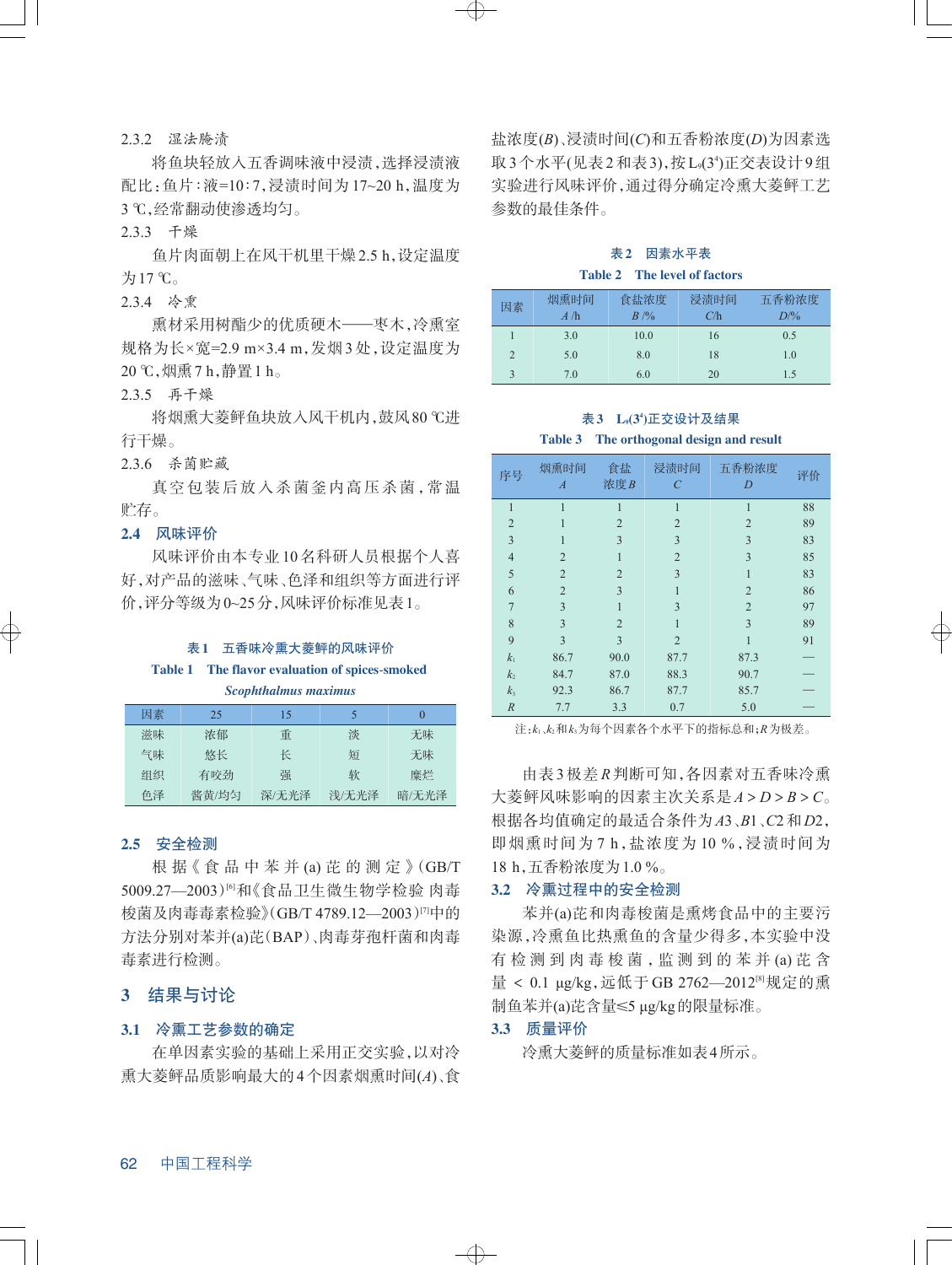#### 2.3.2 湿法腌渍

将鱼块轻放入五香调味液中浸渍,选择浸渍液 配比:鱼片∶液=10∶7,浸渍时间为 17~20 h,温度为 3 ℃,经常翻动使渗透均匀。

2.3.3 干燥

鱼片肉面朝上在风干机里干燥2.5 h,设定温度 为17 ℃。

2.3.4 冷熏

熏材采用树酯少的优质硬木——枣木,冷熏室 规格为长×宽=2.9 m×3.4 m,发烟 3 处,设定温度为 20 ℃,烟熏7 h,静置1 h。

2.3.5 再干燥

将烟熏大菱鲆鱼块放入风干机内,鼓风80 ℃进 行干燥。

2.3.6 杀菌贮藏

真空包装后放入杀菌釜内高压杀菌,常温 贮存。

## 2.4 风味评价

风味评价由本专业10名科研人员根据个人喜 好,对产品的滋味、气味、色泽和组织等方面进行评 价,评分等级为0~25分,风味评价标准见表1。

#### 表1 五香味冷熏大菱鲆的风味评价

#### Table 1 The flavor evaluation of spices-smoked

*Scophthalmus maximus*

| 因素 | 25    | 15    | 5     |       |
|----|-------|-------|-------|-------|
| 滋味 | 浓郁    | 重     | 淡     | 无味    |
| 气味 | 悠长    | 长     | 短     | 无味    |
| 组织 | 有咬劲   | 强     | 软     | 糜烂    |
| 色泽 | 酱黄/均匀 | 深/无光泽 | 浅/无光泽 | 暗/无光泽 |

#### 2.5 安全检测

根 据《食 品 中 苯 并 (a) 芘 的 测 定》(GB/T 5009.27—2003)⑹和《食品卫生微生物学检验 肉毒 梭菌及肉毒毒素检验》(GB/T 4789.12—2003)四中的 方法分别对苯并(a)芘(BAP)、肉毒芽孢杆菌和肉毒 毒素进行检测。

## 3 结果与讨论

#### 3.1 冷熏工艺参数的确定

在单因素实验的基础上采用正交实验,以对冷 熏大菱鲆品质影响最大的4个因素烟熏时间(*A*)、食

盐浓度(*B*)、浸渍时间(*C*)和五香粉浓度(*D*)为因素选 取3个水平(见表2和表3),按L,(3<sup>4</sup>)正交表设计9组 实验进行风味评价,通过得分确定冷熏大菱鲆工艺 参数的最佳条件。

# 表2 因素水平表 Table 2 The level of factors

| 因素                    | 烟熏时间 | 食盐浓度   | 浸渍时间 | 五香粉浓度          |
|-----------------------|------|--------|------|----------------|
|                       | A/h  | $B$ /% | C/h  | $D\frac{9}{6}$ |
|                       | 3.0  | 10.0   | 16   | 0.5            |
| $\mathcal{D}_{\cdot}$ | 5.0  | 8.0    | 18   | 1.0            |
|                       | 7.0  | 6.0    | 20   | 1.5            |

#### 表3 L9(34 )正交设计及结果

#### Table 3 The orthogonal design and result

| 序号               | 烟熏时间<br>$\boldsymbol{A}$ | 食盐<br>浓度B      | 浸渍时间<br>$\overline{C}$ | 五香粉浓度<br>D     | 评价 |
|------------------|--------------------------|----------------|------------------------|----------------|----|
| 1                | 1                        | 1              | 1                      | 1              | 88 |
| $\overline{2}$   |                          | $\overline{2}$ | $\overline{2}$         | $\overline{2}$ | 89 |
| $\overline{3}$   |                          | 3              | 3                      | 3              | 83 |
| $\overline{4}$   | $\overline{2}$           |                | $\overline{2}$         | 3              | 85 |
| 5                | $\overline{2}$           | $\overline{2}$ | 3                      |                | 83 |
| 6                | $\overline{2}$           | 3              |                        | $\overline{2}$ | 86 |
| $\overline{7}$   | 3                        | 1              | 3                      | $\overline{2}$ | 97 |
| 8                | 3                        | $\overline{2}$ |                        | 3              | 89 |
| 9                | 3                        | 3              | $\overline{2}$         |                | 91 |
| k <sub>1</sub>   | 86.7                     | 90.0           | 87.7                   | 87.3           |    |
| k <sub>2</sub>   | 84.7                     | 87.0           | 88.3                   | 90.7           |    |
| $k_3$            | 92.3                     | 86.7           | 87.7                   | 85.7           |    |
| $\boldsymbol{R}$ | 7.7                      | 3.3            | 0.7                    | 5.0            |    |

注:*k*1、*k*2和*k*3为每个因素各个水平下的指标总和;*R*为极差。

由表 3 极差 *R* 判断可知,各因素对五香味冷熏 大菱鲆风味影响的因素主次关系是*A* > *D* > *B* > *C*。 根据各均值确定的最适合条件为*A*3、*B*1、*C*2和*D*2, 即烟熏时间为 7 h,盐浓度为 10 %,浸渍时间为 18 h,五香粉浓度为1.0 %。

#### 3.2 冷熏过程中的安全检测

苯并(a)芘和肉毒梭菌是熏烤食品中的主要污 染源,冷熏鱼比热熏鱼的含量少得多,本实验中没 有 检 测 到 肉 毒 梭 菌 ,监 测 到 的 苯 并 (a) 芘 含 量 < 0.1 μg/kg,远低于GB 2762—2012<sup>⊠</sup>规定的熏 制鱼苯并(a)芘含量≤5 μg/kg的限量标准。

#### 3.3 质量评价

 $\oplus$ 

冷熏大菱鲆的质量标准如表4所示。